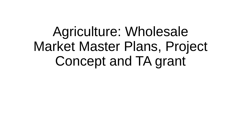# Agriculture: Wholesale Market Master Plans, Project Concept and TA grant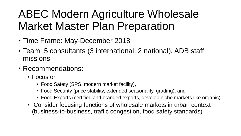# ABEC Modern Agriculture Wholesale Market Master Plan Preparation

- Time Frame: May-December 2018
- Team: 5 consultants (3 international, 2 national), ADB staff missions
- Recommendations:
	- Focus on
		- Food Safety (SPS, modern market facility),
		- Food Security (price stability, extended seasonality, grading), and
		- Food Exports (certified and branded exports, develop niche markets like organic)
	- Consider focusing functions of wholesale markets in urban context (business-to-business, traffic congestion, food safety standards)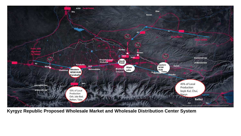

**Kyrgyz Republic Proposed Wholesale Market and Wholesale Distribution Center System**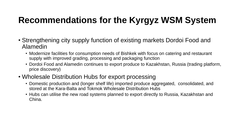## **Recommendations for the Kyrgyz WSM System**

- Strengthening city supply function of existing markets Dordoi Food and Alamedin
	- Modernize facilities for consumption needs of Bishkek with focus on catering and restaurant supply with improved grading, processing and packaging function
	- Dordoi Food and Alamedin continues to export produce to Kazakhstan, Russia (trading platform, price discovery)
- Wholesale Distribution Hubs for export processing
	- Domestic production and (longer shelf life) imported produce aggregated, consolidated, and stored at the Kara-Balta and Tokmok Wholesale Distribution Hubs
	- Hubs can utilise the new road systems planned to export directly to Russia, Kazakhstan and China.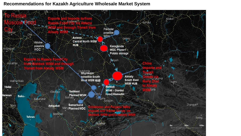#### **Recommendations for Kazakh Agriculture Wholesale Market System**

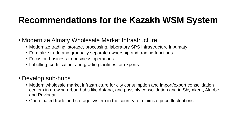## **Recommendations for the Kazakh WSM System**

- Modernize Almaty Wholesale Market Infrastructure
	- Modernize trading, storage, processing, laboratory SPS infrastructure in Almaty
	- Formalize trade and gradually separate ownership and trading functions
	- Focus on business-to-business operations
	- Labelling, certification, and grading facilities for exports

### • Develop sub-hubs

- Modern wholesale market infrastructure for city consumption and import/export consolidation centers in growing urban hubs like Astana, and possibly consolidation and in Shymkent, Aktobe, and Pavlodar
- Coordinated trade and storage system in the country to minimize price fluctuations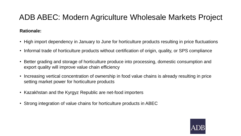## ADB ABEC: Modern Agriculture Wholesale Markets Project

#### **Rationale:**

- High import dependency in January to June for horticulture products resulting in price fluctuations
- Informal trade of horticulture products without certification of origin, quality, or SPS compliance
- Better grading and storage of horticulture produce into processing, domestic consumption and export quality will improve value chain efficiency
- Increasing vertical concentration of ownership in food value chains is already resulting in price setting market power for horticulture products
- Kazakhstan and the Kyrgyz Republic are net-food importers
- Strong integration of value chains for horticulture products in ABEC

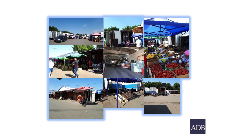

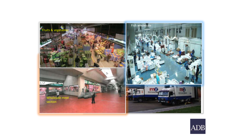